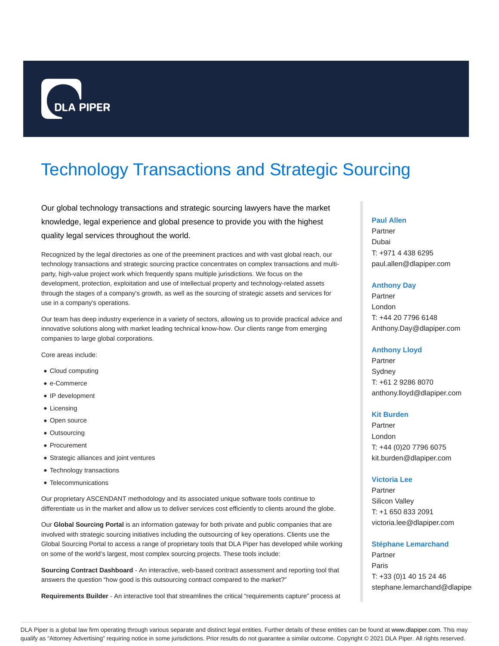

# Technology Transactions and Strategic Sourcing

Our global technology transactions and strategic sourcing lawyers have the market knowledge, legal experience and global presence to provide you with the highest quality legal services throughout the world.

Recognized by the legal directories as one of the preeminent practices and with vast global reach, our technology transactions and strategic sourcing practice concentrates on complex transactions and multiparty, high-value project work which frequently spans multiple jurisdictions. We focus on the development, protection, exploitation and use of intellectual property and technology-related assets through the stages of a company's growth, as well as the sourcing of strategic assets and services for use in a company's operations.

Our team has deep industry experience in a variety of sectors, allowing us to provide practical advice and innovative solutions along with market leading technical know-how. Our clients range from emerging companies to large global corporations.

Core areas include:

- Cloud computing
- e-Commerce
- IP development
- Licensing
- Open source
- Outsourcing
- Procurement
- Strategic alliances and joint ventures
- Technology transactions
- Telecommunications

Our proprietary ASCENDANT methodology and its associated unique software tools continue to differentiate us in the market and allow us to deliver services cost efficiently to clients around the globe.

Our **Global Sourcing Portal** is an information gateway for both private and public companies that are involved with strategic sourcing initiatives including the outsourcing of key operations. Clients use the Global Sourcing Portal to access a range of proprietary tools that DLA Piper has developed while working on some of the world's largest, most complex sourcing projects. These tools include:

**Sourcing Contract Dashboard** - An interactive, web-based contract assessment and reporting tool that answers the question "how good is this outsourcing contract compared to the market?"

**Requirements Builder** - An interactive tool that streamlines the critical "requirements capture" process at

#### **Paul Allen**

Partner Dubai T: +971 4 438 6295 paul.allen@dlapiper.com

#### **Anthony Day**

Partner London T: +44 20 7796 6148 Anthony.Day@dlapiper.com

#### **Anthony Lloyd**

Partner Sydney T: +61 2 9286 8070 anthony.lloyd@dlapiper.com

#### **Kit Burden**

Partner London T: +44 (0)20 7796 6075 kit.burden@dlapiper.com

#### **Victoria Lee**

Partner Silicon Valley T: +1 650 833 2091 victoria.lee@dlapiper.com

#### **Stéphane Lemarchand**

Partner Paris T: +33 (0)1 40 15 24 46 stephane.lemarchand@dlapipe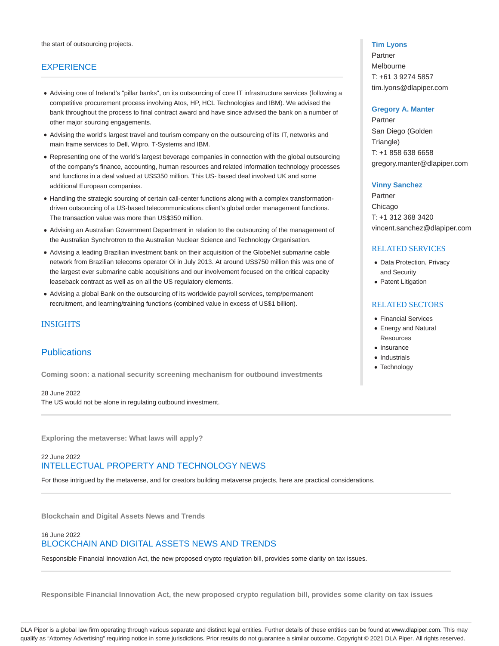# **EXPERIENCE**

- Advising one of Ireland's "pillar banks", on its outsourcing of core IT infrastructure services (following a competitive procurement process involving Atos, HP, HCL Technologies and IBM). We advised the bank throughout the process to final contract award and have since advised the bank on a number of other major sourcing engagements.
- Advising the world's largest travel and tourism company on the outsourcing of its IT, networks and main frame services to Dell, Wipro, T-Systems and IBM.
- Representing one of the world's largest beverage companies in connection with the global outsourcing of the company's finance, accounting, human resources and related information technology processes and functions in a deal valued at US\$350 million. This US- based deal involved UK and some additional European companies.
- Handling the strategic sourcing of certain call-center functions along with a complex transformationdriven outsourcing of a US-based telecommunications client's global order management functions. The transaction value was more than US\$350 million.
- Advising an Australian Government Department in relation to the outsourcing of the management of the Australian Synchrotron to the Australian Nuclear Science and Technology Organisation.
- Advising a leading Brazilian investment bank on their acquisition of the GlobeNet submarine cable network from Brazilian telecoms operator Oi in July 2013. At around US\$750 million this was one of the largest ever submarine cable acquisitions and our involvement focused on the critical capacity leaseback contract as well as on all the US regulatory elements.
- Advising a global Bank on the outsourcing of its worldwide payroll services, temp/permanent recruitment, and learning/training functions (combined value in excess of US\$1 billion).

# INSIGHTS

# **Publications**

**Coming soon: a national security screening mechanism for outbound investments**

# 28 June 2022

The US would not be alone in regulating outbound investment.

**Exploring the metaverse: What laws will apply?**

# 22 June 2022 INTELLECTUAL PROPERTY AND TECHNOLOGY NEWS

For those intrigued by the metaverse, and for creators building metaverse projects, here are practical considerations.

**Blockchain and Digital Assets News and Trends**

# 16 June 2022 BLOCKCHAIN AND DIGITAL ASSETS NEWS AND TRENDS

Responsible Financial Innovation Act, the new proposed crypto regulation bill, provides some clarity on tax issues.

**Responsible Financial Innovation Act, the new proposed crypto regulation bill, provides some clarity on tax issues**

#### **Tim Lyons**

Partner Melbourne T: +61 3 9274 5857 tim.lyons@dlapiper.com

#### **Gregory A. Manter**

Partner San Diego (Golden Triangle) T: +1 858 638 6658 gregory.manter@dlapiper.com

#### **Vinny Sanchez**

Partner Chicago T: +1 312 368 3420 vincent.sanchez@dlapiper.com

#### RELATED SERVICES

- Data Protection, Privacy and Security
- Patent Litigation

#### RELATED SECTORS

- Financial Services
- Energy and Natural **Resources**
- Insurance
- Industrials
- Technology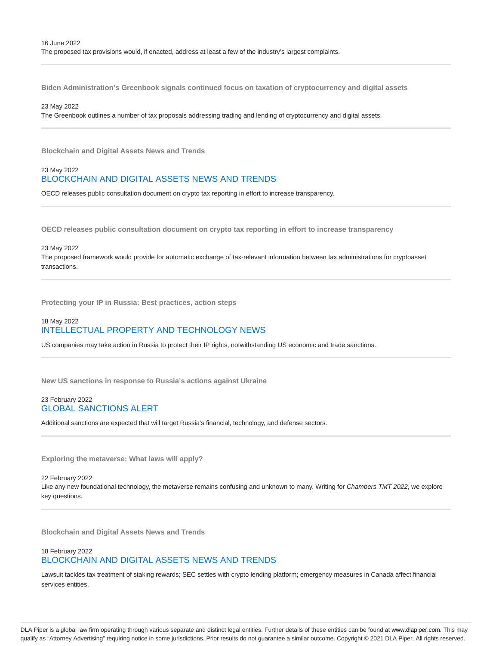**Biden Administration's Greenbook signals continued focus on taxation of cryptocurrency and digital assets**

#### 23 May 2022

The Greenbook outlines a number of tax proposals addressing trading and lending of cryptocurrency and digital assets.

**Blockchain and Digital Assets News and Trends**

#### 23 May 2022 BLOCKCHAIN AND DIGITAL ASSETS NEWS AND TRENDS

OECD releases public consultation document on crypto tax reporting in effort to increase transparency.

**OECD releases public consultation document on crypto tax reporting in effort to increase transparency**

#### 23 May 2022

The proposed framework would provide for automatic exchange of tax-relevant information between tax administrations for cryptoasset transactions.

**Protecting your IP in Russia: Best practices, action steps**

## 18 May 2022 INTELLECTUAL PROPERTY AND TECHNOLOGY NEWS

US companies may take action in Russia to protect their IP rights, notwithstanding US economic and trade sanctions.

**New US sanctions in response to Russia's actions against Ukraine**

#### 23 February 2022 GLOBAL SANCTIONS ALERT

Additional sanctions are expected that will target Russia's financial, technology, and defense sectors.

**Exploring the metaverse: What laws will apply?**

22 February 2022 Like any new foundational technology, the metaverse remains confusing and unknown to many. Writing for Chambers TMT 2022, we explore key questions.

**Blockchain and Digital Assets News and Trends**

## 18 February 2022 BLOCKCHAIN AND DIGITAL ASSETS NEWS AND TRENDS

Lawsuit tackles tax treatment of staking rewards; SEC settles with crypto lending platform; emergency measures in Canada affect financial services entities.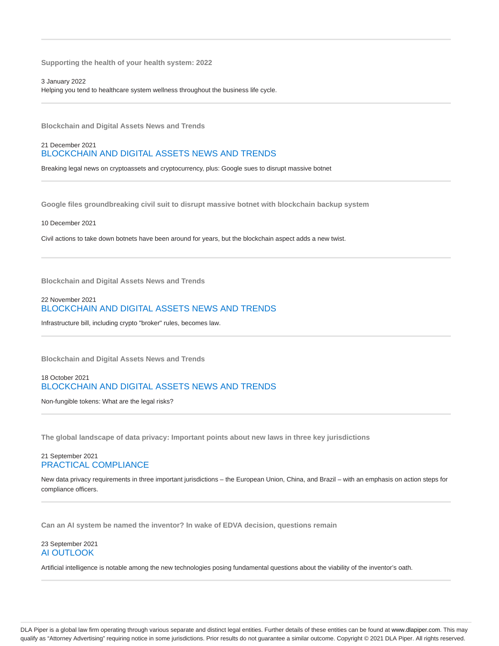**Supporting the health of your health system: 2022**

3 January 2022 Helping you tend to healthcare system wellness throughout the business life cycle.

**Blockchain and Digital Assets News and Trends**

## 21 December 2021 BLOCKCHAIN AND DIGITAL ASSETS NEWS AND TRENDS

Breaking legal news on cryptoassets and cryptocurrency, plus: Google sues to disrupt massive botnet

**Google files groundbreaking civil suit to disrupt massive botnet with blockchain backup system**

10 December 2021

Civil actions to take down botnets have been around for years, but the blockchain aspect adds a new twist.

**Blockchain and Digital Assets News and Trends**

## 22 November 2021 BLOCKCHAIN AND DIGITAL ASSETS NEWS AND TRENDS

Infrastructure bill, including crypto "broker" rules, becomes law.

**Blockchain and Digital Assets News and Trends**

## 18 October 2021 BLOCKCHAIN AND DIGITAL ASSETS NEWS AND TRENDS

Non-fungible tokens: What are the legal risks?

**The global landscape of data privacy: Important points about new laws in three key jurisdictions**

#### 21 September 2021 PRACTICAL COMPLIANCE

New data privacy requirements in three important jurisdictions – the European Union, China, and Brazil – with an emphasis on action steps for compliance officers.

**Can an AI system be named the inventor? In wake of EDVA decision, questions remain**

## 23 September 2021 AI OUTLOOK

Artificial intelligence is notable among the new technologies posing fundamental questions about the viability of the inventor's oath.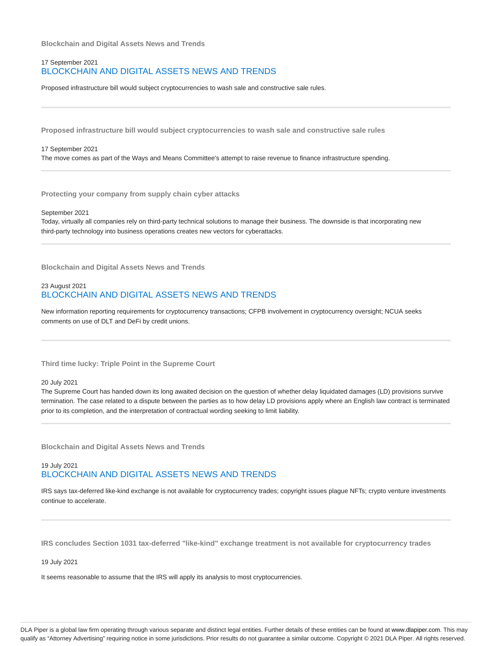**Blockchain and Digital Assets News and Trends**

#### 17 September 2021 BLOCKCHAIN AND DIGITAL ASSETS NEWS AND TRENDS

Proposed infrastructure bill would subject cryptocurrencies to wash sale and constructive sale rules.

**Proposed infrastructure bill would subject cryptocurrencies to wash sale and constructive sale rules**

#### 17 September 2021

The move comes as part of the Ways and Means Committee's attempt to raise revenue to finance infrastructure spending.

**Protecting your company from supply chain cyber attacks**

#### September 2021

Today, virtually all companies rely on third-party technical solutions to manage their business. The downside is that incorporating new third-party technology into business operations creates new vectors for cyberattacks.

**Blockchain and Digital Assets News and Trends**

## 23 August 2021 BLOCKCHAIN AND DIGITAL ASSETS NEWS AND TRENDS

New information reporting requirements for cryptocurrency transactions; CFPB involvement in cryptocurrency oversight; NCUA seeks comments on use of DLT and DeFi by credit unions.

**Third time lucky: Triple Point in the Supreme Court**

#### 20 July 2021

The Supreme Court has handed down its long awaited decision on the question of whether delay liquidated damages (LD) provisions survive termination. The case related to a dispute between the parties as to how delay LD provisions apply where an English law contract is terminated prior to its completion, and the interpretation of contractual wording seeking to limit liability.

**Blockchain and Digital Assets News and Trends**

## 19 July 2021 BLOCKCHAIN AND DIGITAL ASSETS NEWS AND TRENDS

IRS says tax-deferred like-kind exchange is not available for cryptocurrency trades; copyright issues plague NFTs; crypto venture investments continue to accelerate.

**IRS concludes Section 1031 tax-deferred "like-kind" exchange treatment is not available for cryptocurrency trades**

19 July 2021

It seems reasonable to assume that the IRS will apply its analysis to most cryptocurrencies.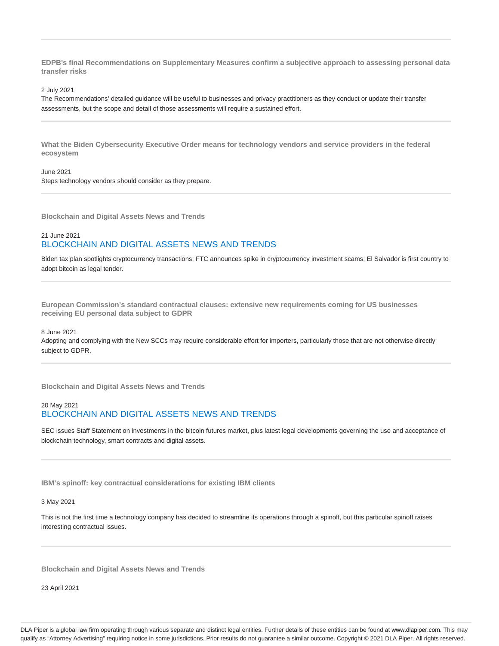**EDPB's final Recommendations on Supplementary Measures confirm a subjective approach to assessing personal data transfer risks**

2 July 2021

The Recommendations' detailed guidance will be useful to businesses and privacy practitioners as they conduct or update their transfer assessments, but the scope and detail of those assessments will require a sustained effort.

**What the Biden Cybersecurity Executive Order means for technology vendors and service providers in the federal ecosystem**

June 2021 Steps technology vendors should consider as they prepare.

**Blockchain and Digital Assets News and Trends**

## 21 June 2021 BLOCKCHAIN AND DIGITAL ASSETS NEWS AND TRENDS

Biden tax plan spotlights cryptocurrency transactions; FTC announces spike in cryptocurrency investment scams; El Salvador is first country to adopt bitcoin as legal tender.

**European Commission's standard contractual clauses: extensive new requirements coming for US businesses receiving EU personal data subject to GDPR**

8 June 2021

Adopting and complying with the New SCCs may require considerable effort for importers, particularly those that are not otherwise directly subject to GDPR.

**Blockchain and Digital Assets News and Trends**

# 20 May 2021 BLOCKCHAIN AND DIGITAL ASSETS NEWS AND TRENDS

SEC issues Staff Statement on investments in the bitcoin futures market, plus latest legal developments governing the use and acceptance of blockchain technology, smart contracts and digital assets.

**IBM's spinoff: key contractual considerations for existing IBM clients**

3 May 2021

This is not the first time a technology company has decided to streamline its operations through a spinoff, but this particular spinoff raises interesting contractual issues.

**Blockchain and Digital Assets News and Trends**

23 April 2021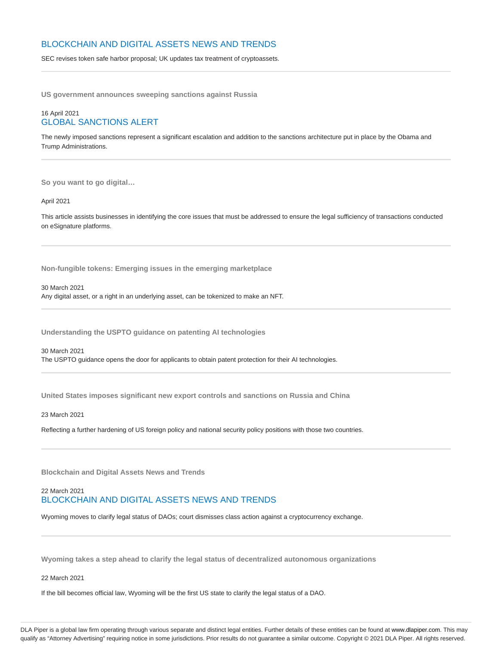## BLOCKCHAIN AND DIGITAL ASSETS NEWS AND TRENDS

SEC revises token safe harbor proposal; UK updates tax treatment of cryptoassets.

**US government announces sweeping sanctions against Russia**

## 16 April 2021 GLOBAL SANCTIONS ALERT

The newly imposed sanctions represent a significant escalation and addition to the sanctions architecture put in place by the Obama and Trump Administrations.

**So you want to go digital…**

April 2021

This article assists businesses in identifying the core issues that must be addressed to ensure the legal sufficiency of transactions conducted on eSignature platforms.

**Non-fungible tokens: Emerging issues in the emerging marketplace**

30 March 2021

Any digital asset, or a right in an underlying asset, can be tokenized to make an NFT.

**Understanding the USPTO guidance on patenting AI technologies**

30 March 2021

The USPTO guidance opens the door for applicants to obtain patent protection for their AI technologies.

**United States imposes significant new export controls and sanctions on Russia and China**

23 March 2021

Reflecting a further hardening of US foreign policy and national security policy positions with those two countries.

**Blockchain and Digital Assets News and Trends**

## 22 March 2021 BLOCKCHAIN AND DIGITAL ASSETS NEWS AND TRENDS

Wyoming moves to clarify legal status of DAOs; court dismisses class action against a cryptocurrency exchange.

**Wyoming takes a step ahead to clarify the legal status of decentralized autonomous organizations**

22 March 2021

If the bill becomes official law, Wyoming will be the first US state to clarify the legal status of a DAO.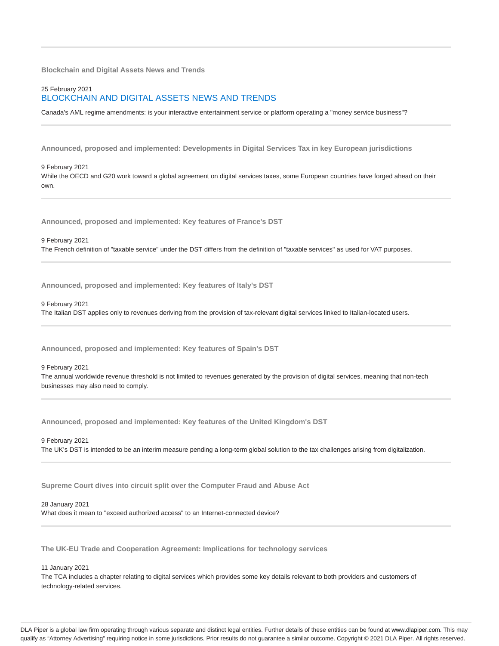**Blockchain and Digital Assets News and Trends**

## 25 February 2021 BLOCKCHAIN AND DIGITAL ASSETS NEWS AND TRENDS

Canada's AML regime amendments: is your interactive entertainment service or platform operating a "money service business"?

**Announced, proposed and implemented: Developments in Digital Services Tax in key European jurisdictions**

9 February 2021 While the OECD and G20 work toward a global agreement on digital services taxes, some European countries have forged ahead on their own.

**Announced, proposed and implemented: Key features of France's DST**

9 February 2021 The French definition of "taxable service" under the DST differs from the definition of "taxable services" as used for VAT purposes.

**Announced, proposed and implemented: Key features of Italy's DST**

9 February 2021

The Italian DST applies only to revenues deriving from the provision of tax-relevant digital services linked to Italian-located users.

**Announced, proposed and implemented: Key features of Spain's DST**

9 February 2021

The annual worldwide revenue threshold is not limited to revenues generated by the provision of digital services, meaning that non-tech businesses may also need to comply.

**Announced, proposed and implemented: Key features of the United Kingdom's DST**

9 February 2021 The UK's DST is intended to be an interim measure pending a long-term global solution to the tax challenges arising from digitalization.

**Supreme Court dives into circuit split over the Computer Fraud and Abuse Act**

28 January 2021

What does it mean to "exceed authorized access" to an Internet-connected device?

**The UK-EU Trade and Cooperation Agreement: Implications for technology services**

11 January 2021

The TCA includes a chapter relating to digital services which provides some key details relevant to both providers and customers of technology-related services.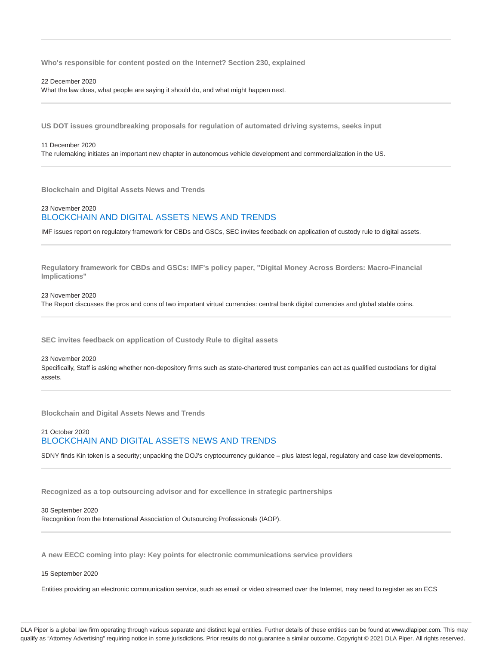**Who's responsible for content posted on the Internet? Section 230, explained**

22 December 2020

What the law does, what people are saying it should do, and what might happen next.

**US DOT issues groundbreaking proposals for regulation of automated driving systems, seeks input**

11 December 2020 The rulemaking initiates an important new chapter in autonomous vehicle development and commercialization in the US.

**Blockchain and Digital Assets News and Trends**

## 23 November 2020 BLOCKCHAIN AND DIGITAL ASSETS NEWS AND TRENDS

IMF issues report on regulatory framework for CBDs and GSCs, SEC invites feedback on application of custody rule to digital assets.

**Regulatory framework for CBDs and GSCs: IMF's policy paper, "Digital Money Across Borders: Macro-Financial Implications"**

23 November 2020 The Report discusses the pros and cons of two important virtual currencies: central bank digital currencies and global stable coins.

**SEC invites feedback on application of Custody Rule to digital assets**

#### 23 November 2020

Specifically, Staff is asking whether non-depository firms such as state-chartered trust companies can act as qualified custodians for digital assets.

**Blockchain and Digital Assets News and Trends**

# 21 October 2020 BLOCKCHAIN AND DIGITAL ASSETS NEWS AND TRENDS

SDNY finds Kin token is a security; unpacking the DOJ's cryptocurrency guidance – plus latest legal, regulatory and case law developments.

**Recognized as a top outsourcing advisor and for excellence in strategic partnerships**

30 September 2020 Recognition from the International Association of Outsourcing Professionals (IAOP).

**A new EECC coming into play: Key points for electronic communications service providers**

#### 15 September 2020

Entities providing an electronic communication service, such as email or video streamed over the Internet, may need to register as an ECS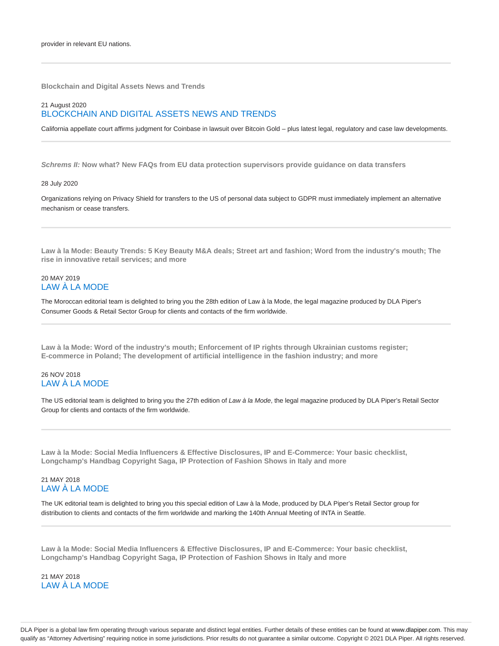**Blockchain and Digital Assets News and Trends**

## 21 August 2020 BLOCKCHAIN AND DIGITAL ASSETS NEWS AND TRENDS

California appellate court affirms judgment for Coinbase in lawsuit over Bitcoin Gold – plus latest legal, regulatory and case law developments.

**Schrems II: Now what? New FAQs from EU data protection supervisors provide guidance on data transfers**

#### 28 July 2020

Organizations relying on Privacy Shield for transfers to the US of personal data subject to GDPR must immediately implement an alternative mechanism or cease transfers.

**Law à la Mode: Beauty Trends: 5 Key Beauty M&A deals; Street art and fashion; Word from the industry's mouth; The rise in innovative retail services; and more**

## 20 MAY 2019 LAW À LA MODE

The Moroccan editorial team is delighted to bring you the 28th edition of Law à la Mode, the legal magazine produced by DLA Piper's Consumer Goods & Retail Sector Group for clients and contacts of the firm worldwide.

**Law à la Mode: Word of the industry's mouth; Enforcement of IP rights through Ukrainian customs register; E-commerce in Poland; The development of artificial intelligence in the fashion industry; and more**

## 26 NOV 2018 LAW À LA MODE

The US editorial team is delighted to bring you the 27th edition of Law à la Mode, the legal magazine produced by DLA Piper's Retail Sector Group for clients and contacts of the firm worldwide.

**Law à la Mode: Social Media Influencers & Effective Disclosures, IP and E-Commerce: Your basic checklist, Longchamp's Handbag Copyright Saga, IP Protection of Fashion Shows in Italy and more**

## 21 MAY 2018 LAW À LA MODE

The UK editorial team is delighted to bring you this special edition of Law à la Mode, produced by DLA Piper's Retail Sector group for distribution to clients and contacts of the firm worldwide and marking the 140th Annual Meeting of INTA in Seattle.

**Law à la Mode: Social Media Influencers & Effective Disclosures, IP and E-Commerce: Your basic checklist, Longchamp's Handbag Copyright Saga, IP Protection of Fashion Shows in Italy and more**

21 MAY 2018 LAW À LA MODE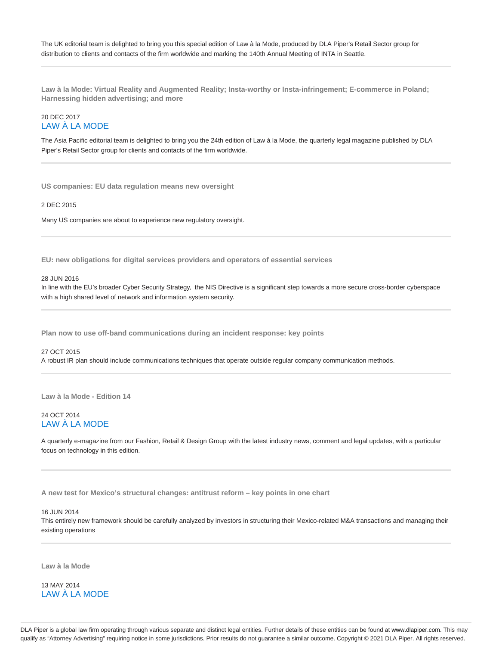The UK editorial team is delighted to bring you this special edition of Law à la Mode, produced by DLA Piper's Retail Sector group for distribution to clients and contacts of the firm worldwide and marking the 140th Annual Meeting of INTA in Seattle.

**Law à la Mode: Virtual Reality and Augmented Reality; Insta-worthy or Insta-infringement; E-commerce in Poland; Harnessing hidden advertising; and more**

# 20 DEC 2017 LAW À LA MODE

The Asia Pacific editorial team is delighted to bring you the 24th edition of Law à la Mode, the quarterly legal magazine published by DLA Piper's Retail Sector group for clients and contacts of the firm worldwide.

**US companies: EU data regulation means new oversight**

2 DEC 2015

Many US companies are about to experience new regulatory oversight.

**EU: new obligations for digital services providers and operators of essential services**

#### 28 JUN 2016

In line with the EU's broader Cyber Security Strategy, the NIS Directive is a significant step towards a more secure cross-border cyberspace with a high shared level of network and information system security.

**Plan now to use off-band communications during an incident response: key points**

#### 27 OCT 2015

A robust IR plan should include communications techniques that operate outside regular company communication methods.

**Law à la Mode - Edition 14**

#### 24 OCT 2014 LAW À LA MODE

A quarterly e-magazine from our Fashion, Retail & Design Group with the latest industry news, comment and legal updates, with a particular focus on technology in this edition.

**A new test for Mexico's structural changes: antitrust reform – key points in one chart**

#### 16 JUN 2014

This entirely new framework should be carefully analyzed by investors in structuring their Mexico-related M&A transactions and managing their existing operations

**Law à la Mode**

13 MAY 2014 LAW À LA MODE